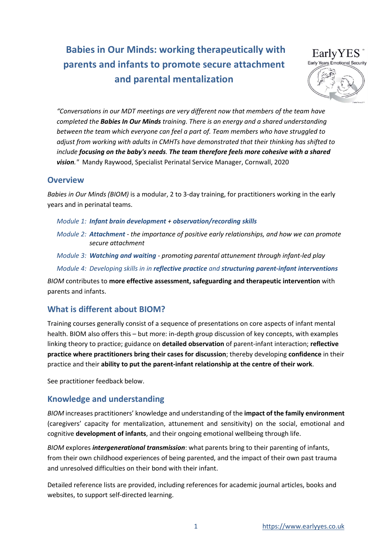# Babies in Our Minds: working therapeutically with parents and infants to promote secure attachment and parental mentalization



"Conversations in our MDT meetings are very different now that members of the team have completed the **Babies In Our Minds** training. There is an energy and a shared understanding between the team which everyone can feel a part of. Team members who have struggled to adjust from working with adults in CMHTs have demonstrated that their thinking has shifted to include focusing on the baby's needs. The team therefore feels more cohesive with a shared vision." Mandy Raywood, Specialist Perinatal Service Manager, Cornwall, 2020

### **Overview**

Babies in Our Minds (BIOM) is a modular, 2 to 3-day training, for practitioners working in the early years and in perinatal teams.

- Module 1: Infant brain development + observation/recording skills
- Module 2: Attachment the importance of positive early relationships, and how we can promote secure attachment
- Module 3: Watching and waiting promoting parental attunement through infant-led play Module 4: Developing skills in in reflective practice and structuring parent-infant interventions

BIOM contributes to more effective assessment, safeguarding and therapeutic intervention with parents and infants.

### What is different about BIOM?

Training courses generally consist of a sequence of presentations on core aspects of infant mental health. BIOM also offers this – but more: in-depth group discussion of key concepts, with examples linking theory to practice; guidance on detailed observation of parent-infant interaction; reflective practice where practitioners bring their cases for discussion; thereby developing confidence in their practice and their ability to put the parent-infant relationship at the centre of their work.

See practitioner feedback below.

### Knowledge and understanding

BIOM increases practitioners' knowledge and understanding of the impact of the family environment (caregivers' capacity for mentalization, attunement and sensitivity) on the social, emotional and cognitive development of infants, and their ongoing emotional wellbeing through life.

BIOM explores intergenerational transmission: what parents bring to their parenting of infants, from their own childhood experiences of being parented, and the impact of their own past trauma and unresolved difficulties on their bond with their infant.

Detailed reference lists are provided, including references for academic journal articles, books and websites, to support self-directed learning.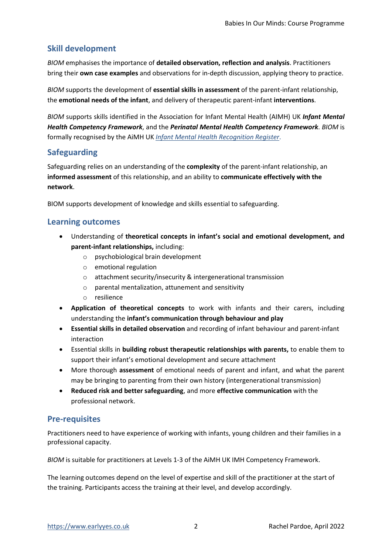### Skill development

BIOM emphasises the importance of detailed observation, reflection and analysis. Practitioners bring their own case examples and observations for in-depth discussion, applying theory to practice.

BIOM supports the development of essential skills in assessment of the parent-infant relationship, the emotional needs of the infant, and delivery of therapeutic parent-infant interventions.

BIOM supports skills identified in the Association for Infant Mental Health (AIMH) UK Infant Mental Health Competency Framework, and the Perinatal Mental Health Competency Framework. BIOM is formally recognised by the AiMH UK Infant Mental Health Recognition Register.

### Safeguarding

Safeguarding relies on an understanding of the complexity of the parent-infant relationship, an informed assessment of this relationship, and an ability to communicate effectively with the network.

BIOM supports development of knowledge and skills essential to safeguarding.

#### Learning outcomes

- Understanding of theoretical concepts in infant's social and emotional development, and parent-infant relationships, including:
	- o psychobiological brain development
	- o emotional regulation
	- o attachment security/insecurity & intergenerational transmission
	- o parental mentalization, attunement and sensitivity
	- o resilience
- Application of theoretical concepts to work with infants and their carers, including understanding the infant's communication through behaviour and play
- Essential skills in detailed observation and recording of infant behaviour and parent-infant interaction
- Essential skills in building robust therapeutic relationships with parents, to enable them to support their infant's emotional development and secure attachment
- More thorough assessment of emotional needs of parent and infant, and what the parent may be bringing to parenting from their own history (intergenerational transmission)
- Reduced risk and better safeguarding, and more effective communication with the professional network.

### Pre-requisites

Practitioners need to have experience of working with infants, young children and their families in a professional capacity.

BIOM is suitable for practitioners at Levels 1-3 of the AiMH UK IMH Competency Framework.

The learning outcomes depend on the level of expertise and skill of the practitioner at the start of the training. Participants access the training at their level, and develop accordingly.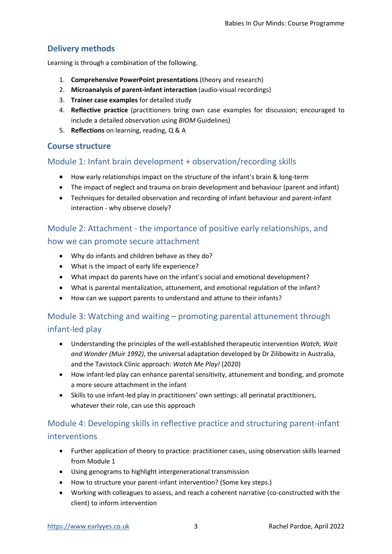### Delivery methods

Learning is through a combination of the following.

- 1. Comprehensive PowerPoint presentations (theory and research)
- 2. Microanalysis of parent-infant interaction (audio-visual recordings)
- 3. Trainer case examples for detailed study
- 4. Reflective practice (practitioners bring own case examples for discussion; encouraged to include a detailed observation using BIOM Guidelines)
- 5. Reflections on learning, reading, Q & A

### Course structure

### Module 1: Infant brain development + observation/recording skills

- How early relationships impact on the structure of the infant's brain & long-term
- The impact of neglect and trauma on brain development and behaviour (parent and infant)
- Techniques for detailed observation and recording of infant behaviour and parent-infant interaction - why observe closely?

## Module 2: Attachment - the importance of positive early relationships, and how we can promote secure attachment

- Why do infants and children behave as they do?
- What is the impact of early life experience?
- What impact do parents have on the infant's social and emotional development?
- What is parental mentalization, attunement, and emotional regulation of the infant?
- How can we support parents to understand and attune to their infants?

### Module 3: Watching and waiting – promoting parental attunement through infant-led play

- Understanding the principles of the well-established therapeutic intervention Watch, Wait and Wonder (Muir 1992), the universal adaptation developed by Dr Zilibowitz in Australia, and the Tavistock Clinic approach: Watch Me Play! (2020)
- How infant-led play can enhance parental sensitivity, attunement and bonding, and promote a more secure attachment in the infant
- Skills to use infant-led play in practitioners' own settings: all perinatal practitioners, whatever their role, can use this approach

## Module 4: Developing skills in reflective practice and structuring parent-infant interventions

- Further application of theory to practice: practitioner cases, using observation skills learned from Module 1
- Using genograms to highlight intergenerational transmission
- How to structure your parent-infant intervention? (Some key steps.)
- Working with colleagues to assess, and reach a coherent narrative (co-constructed with the client) to inform intervention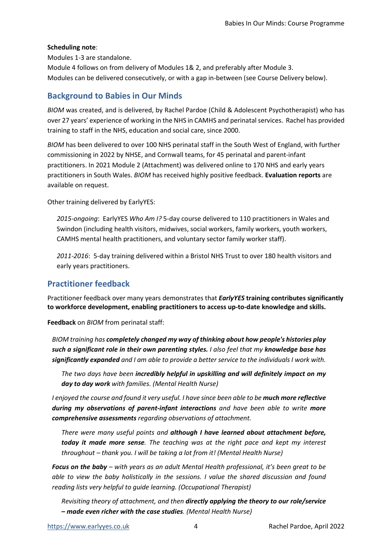#### Scheduling note:

Modules 1-3 are standalone.

Module 4 follows on from delivery of Modules 1& 2, and preferably after Module 3. Modules can be delivered consecutively, or with a gap in-between (see Course Delivery below).

### Background to Babies in Our Minds

BIOM was created, and is delivered, by Rachel Pardoe (Child & Adolescent Psychotherapist) who has over 27 years' experience of working in the NHS in CAMHS and perinatal services. Rachel has provided training to staff in the NHS, education and social care, since 2000.

BIOM has been delivered to over 100 NHS perinatal staff in the South West of England, with further commissioning in 2022 by NHSE, and Cornwall teams, for 45 perinatal and parent-infant practitioners. In 2021 Module 2 (Attachment) was delivered online to 170 NHS and early years practitioners in South Wales. BIOM has received highly positive feedback. Evaluation reports are available on request.

Other training delivered by EarlyYES:

2015-ongoing: EarlyYES Who Am I? 5-day course delivered to 110 practitioners in Wales and Swindon (including health visitors, midwives, social workers, family workers, youth workers, CAMHS mental health practitioners, and voluntary sector family worker staff).

2011-2016: 5-day training delivered within a Bristol NHS Trust to over 180 health visitors and early years practitioners.

### Practitioner feedback

Practitioner feedback over many years demonstrates that *EarlyYES* training contributes significantly to workforce development, enabling practitioners to access up-to-date knowledge and skills.

Feedback on *BIOM* from perinatal staff:

BIOM training has completely changed my way of thinking about how people's histories play such a significant role in their own parenting styles. I also feel that my knowledge base has significantly expanded and I am able to provide a better service to the individuals I work with.

The two days have been incredibly helpful in upskilling and will definitely impact on my day to day work with families. (Mental Health Nurse)

I enjoyed the course and found it very useful. I have since been able to be **much more reflective** during my observations of parent-infant interactions and have been able to write more comprehensive assessments regarding observations of attachment.

There were many useful points and although I have learned about attachment before, today it made more sense. The teaching was at the right pace and kept my interest throughout – thank you. I will be taking a lot from it! (Mental Health Nurse)

**Focus on the baby** – with years as an adult Mental Health professional, it's been great to be able to view the baby holistically in the sessions. I value the shared discussion and found reading lists very helpful to guide learning. (Occupational Therapist)

Revisiting theory of attachment, and then **directly applying the theory to our role/service** – made even richer with the case studies. (Mental Health Nurse)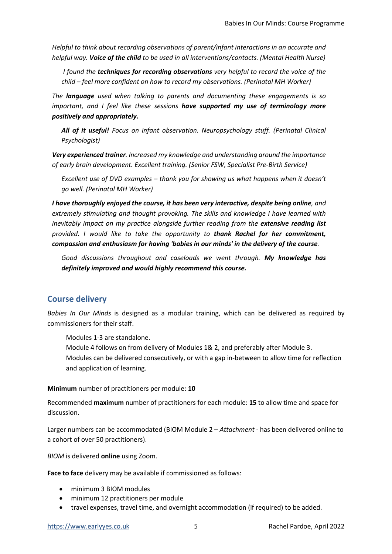Helpful to think about recording observations of parent/infant interactions in an accurate and helpful way. Voice of the child to be used in all interventions/contacts. (Mental Health Nurse)

I found the techniques for recording observations very helpful to record the voice of the child – feel more confident on how to record my observations. (Perinatal MH Worker)

The **language** used when talking to parents and documenting these engagements is so important, and I feel like these sessions have supported my use of terminology more positively and appropriately.

All of it useful! Focus on infant observation. Neuropsychology stuff. (Perinatal Clinical Psychologist)

Very experienced trainer. Increased my knowledge and understanding around the importance of early brain development. Excellent training. (Senior FSW, Specialist Pre-Birth Service)

Excellent use of DVD examples – thank you for showing us what happens when it doesn't go well. (Perinatal MH Worker)

I have thoroughly enjoyed the course, it has been very interactive, despite being online, and extremely stimulating and thought provoking. The skills and knowledge I have learned with inevitably impact on my practice alongside further reading from the extensive reading list provided. I would like to take the opportunity to thank Rachel for her commitment, compassion and enthusiasm for having 'babies in our minds' in the delivery of the course.

Good discussions throughout and caseloads we went through. My knowledge has definitely improved and would highly recommend this course.

#### Course delivery

Babies In Our Minds is designed as a modular training, which can be delivered as required by commissioners for their staff.

Modules 1-3 are standalone.

Module 4 follows on from delivery of Modules 1& 2, and preferably after Module 3.

Modules can be delivered consecutively, or with a gap in-between to allow time for reflection and application of learning.

#### Minimum number of practitioners per module: 10

Recommended maximum number of practitioners for each module: 15 to allow time and space for discussion.

Larger numbers can be accommodated (BIOM Module 2 - Attachment - has been delivered online to a cohort of over 50 practitioners).

BIOM is delivered online using Zoom.

Face to face delivery may be available if commissioned as follows:

- minimum 3 BIOM modules
- minimum 12 practitioners per module
- travel expenses, travel time, and overnight accommodation (if required) to be added.